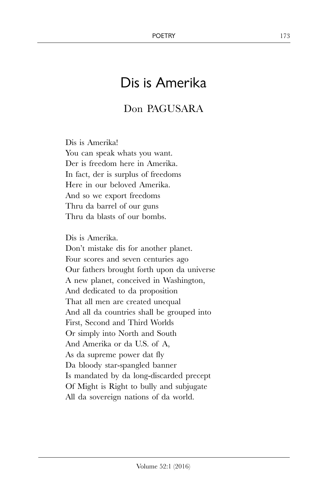## Dis is Amerika

## Don PAGUSARA

Dis is Amerika! You can speak whats you want. Der is freedom here in Amerika. In fact, der is surplus of freedoms Here in our beloved Amerika. And so we export freedoms Thru da barrel of our guns Thru da blasts of our bombs.

Dis is Amerika. Don't mistake dis for another planet. Four scores and seven centuries ago Our fathers brought forth upon da universe A new planet, conceived in Washington, And dedicated to da proposition That all men are created unequal And all da countries shall be grouped into First, Second and Third Worlds Or simply into North and South And Amerika or da U.S. of A, As da supreme power dat fly Da bloody star-spangled banner Is mandated by da long-discarded precept Of Might is Right to bully and subjugate All da sovereign nations of da world.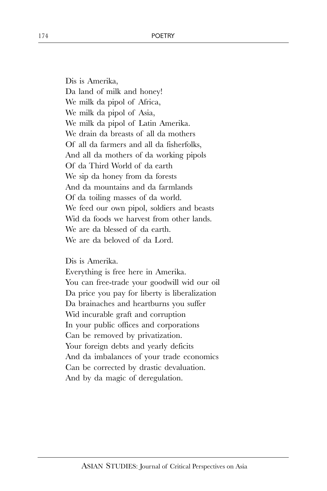Dis is Amerika, Da land of milk and honey! We milk da pipol of Africa, We milk da pipol of Asia, We milk da pipol of Latin Amerika. We drain da breasts of all da mothers Of all da farmers and all da fisherfolks, And all da mothers of da working pipols Of da Third World of da earth We sip da honey from da forests And da mountains and da farmlands Of da toiling masses of da world. We feed our own pipol, soldiers and beasts Wid da foods we harvest from other lands. We are da blessed of da earth. We are da beloved of da Lord.

Dis is Amerika.

Everything is free here in Amerika. You can free-trade your goodwill wid our oil Da price you pay for liberty is liberalization Da brainaches and heartburns you suffer Wid incurable graft and corruption In your public offices and corporations Can be removed by privatization. Your foreign debts and yearly deficits And da imbalances of your trade economics Can be corrected by drastic devaluation. And by da magic of deregulation.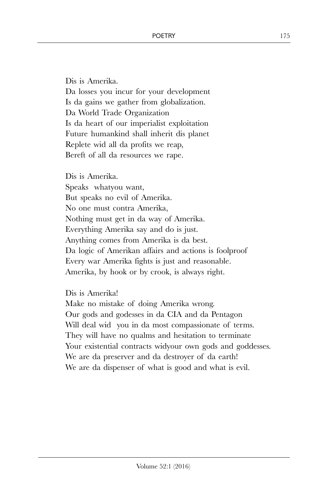Dis is Amerika. Da losses you incur for your development Is da gains we gather from globalization. Da World Trade Organization Is da heart of our imperialist exploitation Future humankind shall inherit dis planet Replete wid all da profits we reap, Bereft of all da resources we rape.

Dis is Amerika. Speaks whatyou want, But speaks no evil of Amerika. No one must contra Amerika, Nothing must get in da way of Amerika. Everything Amerika say and do is just. Anything comes from Amerika is da best. Da logic of Amerikan affairs and actions is foolproof Every war Amerika fights is just and reasonable. Amerika, by hook or by crook, is always right.

Dis is Amerika!

Make no mistake of doing Amerika wrong. Our gods and godesses in da CIA and da Pentagon Will deal wid you in da most compassionate of terms. They will have no qualms and hesitation to terminate Your existential contracts widyour own gods and goddesses. We are da preserver and da destroyer of da earth! We are da dispenser of what is good and what is evil.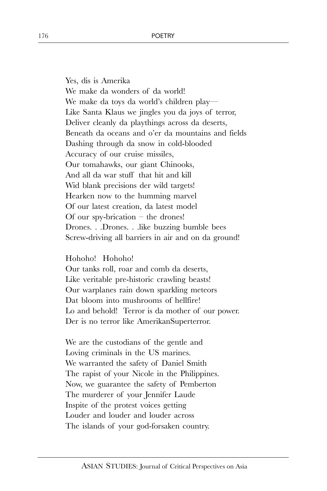Yes, dis is Amerika We make da wonders of da world! We make da toys da world's children play— Like Santa Klaus we jingles you da joys of terror, Deliver cleanly da playthings across da deserts, Beneath da oceans and o'er da mountains and fields Dashing through da snow in cold-blooded Accuracy of our cruise missiles, Our tomahawks, our giant Chinooks, And all da war stuff that hit and kill Wid blank precisions der wild targets! Hearken now to the humming marvel Of our latest creation, da latest model Of our spy-brication  $-$  the drones! Drones. . .Drones. . .like buzzing bumble bees Screw-driving all barriers in air and on da ground!

## Hohoho! Hohoho!

Our tanks roll, roar and comb da deserts, Like veritable pre-historic crawling beasts! Our warplanes rain down sparkling meteors Dat bloom into mushrooms of hellfire! Lo and behold! Terror is da mother of our power. Der is no terror like AmerikanSuperterror.

We are the custodians of the gentle and Loving criminals in the US marines. We warranted the safety of Daniel Smith The rapist of your Nicole in the Philippines. Now, we guarantee the safety of Pemberton The murderer of your Jennifer Laude Inspite of the protest voices getting Louder and louder and louder across The islands of your god-forsaken country.